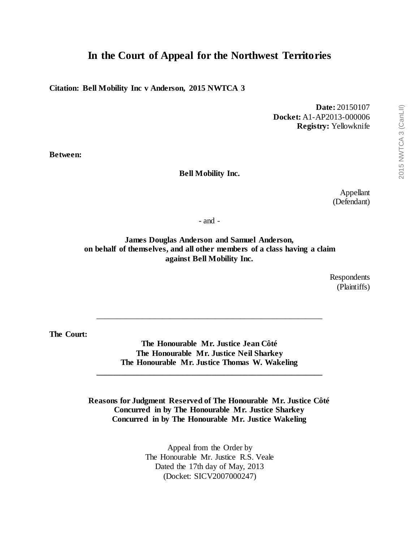# **In the Court of Appeal for the Northwest Territories**

**Citation: Bell Mobility Inc v Anderson, 2015 NWTCA 3**

**Date:** 20150107 **Docket:** A1-AP2013-000006 **Registry:** Yellowknife

**Between:**

#### **Bell Mobility Inc.**

Appellant (Defendant)

- and -

**James Douglas Anderson and Samuel Anderson, on behalf of themselves, and all other members of a class having a claim against Bell Mobility Inc.**

> Respondents (Plaintiffs)

**The Court:**

**The Honourable Mr. Justice Jean Côté The Honourable Mr. Justice Neil Sharkey The Honourable Mr. Justice Thomas W. Wakeling**

**\_\_\_\_\_\_\_\_\_\_\_\_\_\_\_\_\_\_\_\_\_\_\_\_\_\_\_\_\_\_\_\_\_\_\_\_\_\_\_\_\_\_\_\_\_\_\_\_\_\_\_\_\_\_\_**

\_\_\_\_\_\_\_\_\_\_\_\_\_\_\_\_\_\_\_\_\_\_\_\_\_\_\_\_\_\_\_\_\_\_\_\_\_\_\_\_\_\_\_\_\_\_\_\_\_\_\_\_\_\_\_

**Reasons for Judgment Reserved of The Honourable Mr. Justice Côté Concurred in by The Honourable Mr. Justice Sharkey Concurred in by The Honourable Mr. Justice Wakeling**

> Appeal from the Order by The Honourable Mr. Justice R.S. Veale Dated the 17th day of May, 2013 (Docket: SICV2007000247)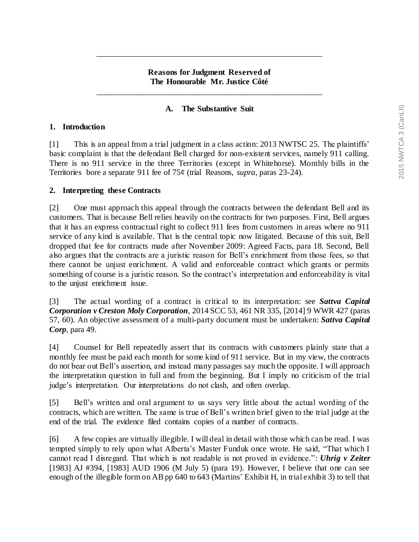#### **Reasons for Judgment Reserved of The Honourable Mr. Justice Côté**

\_\_\_\_\_\_\_\_\_\_\_\_\_\_\_\_\_\_\_\_\_\_\_\_\_\_\_\_\_\_\_\_\_\_\_\_\_\_\_\_\_\_\_\_\_\_\_\_\_\_\_\_\_\_\_

\_\_\_\_\_\_\_\_\_\_\_\_\_\_\_\_\_\_\_\_\_\_\_\_\_\_\_\_\_\_\_\_\_\_\_\_\_\_\_\_\_\_\_\_\_\_\_\_\_\_\_\_\_\_\_

### **A. The Substantive Suit**

#### **1. Introduction**

[1] This is an appeal from a trial judgment in a class action: 2013 NWTSC 25. The plaintiffs' basic complaint is that the defendant Bell charged for non-existent services, namely 911 calling. There is no 911 service in the three Territories (except in Whitehorse). Monthly bills in the Territories bore a separate 911 fee of 75¢ (trial Reasons, *supra*, paras 23-24).

#### **2. Interpreting these Contracts**

[2] One must approach this appeal through the contracts between the defendant Bell and its customers. That is because Bell relies heavily on the contracts for two purposes. First, Bell argues that it has an express contractual right to collect 911 fees from customers in areas where no 911 service of any kind is available. That is the central topic now litigated. Because of this suit, Bell dropped that fee for contracts made after November 2009: Agreed Facts, para 18. Second, Bell also argues that the contracts are a juristic reason for Bell's enrichment from those fees, so that there cannot be unjust enrichment. A valid and enforceable contract which grants or permits something of course is a juristic reason. So the contract's interpretation and enforceability is vital to the unjust enrichment issue.

[3] The actual wording of a contract is critical to its interpretation: see *Sattva Capital Corporation v Creston Moly Corporation*, 2014 SCC 53, 461 NR 335, [2014] 9 WWR 427 (paras 57, 60). An objective assessment of a multi-party document must be undertaken: *Sattva Capital Corp*, para 49.

[4] Counsel for Bell repeatedly assert that its contracts with customers plainly state that a monthly fee must be paid each month for some kind of 911 service. But in my view, the contracts do not bear out Bell's assertion, and instead many passages say much the opposite. I will approach the interpretation question in full and from the beginning. But I imply no criticism of the trial judge's interpretation. Our interpretations do not clash, and often overlap.

[5] Bell's written and oral argument to us says very little about the actual wording of the contracts, which are written. The same is true of Bell's written brief given to the trial judge at the end of the trial. The evidence filed contains copies of a number of contracts.

[6] A few copies are virtually illegible. I will deal in detail with those which can be read. I was tempted simply to rely upon what Alberta's Master Funduk once wrote. He said, "That which I cannot read I disregard. That which is not readable is not proved in evidence.": *Uhrig v Zeiter*  [1983] AJ #394, [1983] AUD 1906 (M July 5) (para 19). However, I believe that one can see enough of the illegible form on AB pp 640 to 643 (Martins' Exhibit H, in trial exhibit 3) to tell that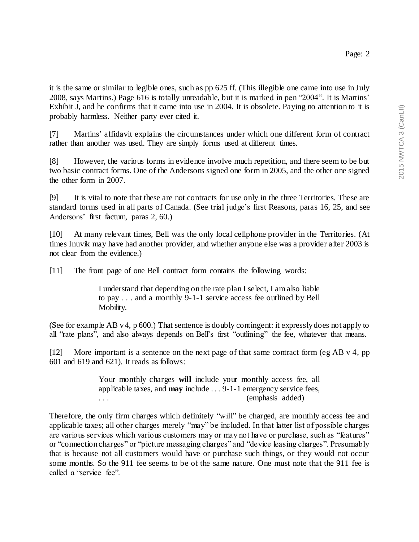it is the same or similar to legible ones, such as pp 625 ff. (This illegible one came into use in July 2008, says Martins.) Page 616 is totally unreadable, but it is marked in pen "2004". It is Martins' Exhibit J, and he confirms that it came into use in 2004. It is obsolete. Paying no attention to it is probably harmless. Neither party ever cited it.

[7] Martins' affidavit explains the circumstances under which one different form of contract rather than another was used. They are simply forms used at different times.

[8] However, the various forms in evidence involve much repetition, and there seem to be but two basic contract forms. One of the Andersons signed one form in 2005, and the other one signed the other form in 2007.

[9] It is vital to note that these are not contracts for use only in the three Territories. These are standard forms used in all parts of Canada. (See trial judge's first Reasons, paras 16, 25, and see Andersons' first factum, paras 2, 60.)

[10] At many relevant times, Bell was the only local cellphone provider in the Territories. (At times Inuvik may have had another provider, and whether anyone else was a provider after 2003 is not clear from the evidence.)

[11] The front page of one Bell contract form contains the following words:

I understand that depending on the rate plan I select, I am also liable to pay . . . and a monthly 9-1-1 service access fee outlined by Bell Mobility.

(See for example AB v 4, p 600.) That sentence is doubly contingent: it expressly does not apply to all "rate plans", and also always depends on Bell's first "outlining" the fee, whatever that means.

[12] More important is a sentence on the next page of that same contract form (eg AB v 4, pp 601 and 619 and 621). It reads as follows:

> Your monthly charges **will** include your monthly access fee, all applicable taxes, and **may** include . . . 9-1-1 emergency service fees, ... (emphasis added)

Therefore, the only firm charges which definitely "will" be charged, are monthly access fee and applicable taxes; all other charges merely "may" be included. In that latter list of possible charges are various services which various customers may or may not have or purchase, such as "features" or "connection charges" or "picture messaging charges" and "device leasing charges". Presumably that is because not all customers would have or purchase such things, or they would not occur some months. So the 911 fee seems to be of the same nature. One must note that the 911 fee is called a "service fee".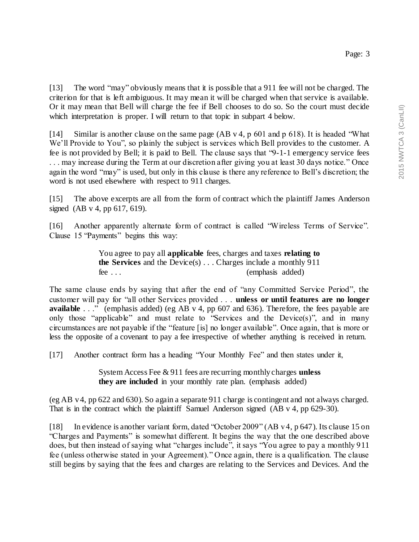[13] The word "may" obviously means that it is possible that a 911 fee will not be charged. The criterion for that is left ambiguous. It may mean it will be charged when that service is available. Or it may mean that Bell will charge the fee if Bell chooses to do so. So the court must decide which interpretation is proper. I will return to that topic in subpart 4 below.

[14] Similar is another clause on the same page (AB v 4, p 601 and p 618). It is headed "What We'll Provide to You", so plainly the subject is services which Bell provides to the customer. A fee is not provided by Bell; it is paid to Bell. The clause says that "9-1-1 emergency service fees . . . may increase during the Term at our discretion after giving you at least 30 days notice." Once again the word "may" is used, but only in this clause is there any reference to Bell's discretion; the word is not used elsewhere with respect to 911 charges.

[15] The above excerpts are all from the form of contract which the plaintiff James Anderson signed (AB v 4, pp 617, 619).

[16] Another apparently alternate form of contract is called "Wireless Terms of Service". Clause 15 "Payments" begins this way:

> You agree to pay all **applicable** fees, charges and taxes **relating to the Services** and the Device(s) . . . Charges include a monthly 911 fee . . . (emphasis added)

The same clause ends by saying that after the end of "any Committed Service Period", the customer will pay for "all other Services provided . . . **unless or until features are no longer available** . . ." (emphasis added) (eg AB v 4, pp 607 and 636). Therefore, the fees payable are only those "applicable" and must relate to "Services and the Device(s)", and in many circumstances are not payable if the "feature [is] no longer available". Once again, that is more or less the opposite of a covenant to pay a fee irrespective of whether anything is received in return.

[17] Another contract form has a heading "Your Monthly Fee" and then states under it,

System Access Fee & 911 fees are recurring monthly charges **unless they are included** in your monthly rate plan. (emphasis added)

(eg AB v 4, pp 622 and 630). So again a separate 911 charge is contingent and not always charged. That is in the contract which the plaintiff Samuel Anderson signed (AB v 4, pp 629-30).

[18] In evidence is another variant form, dated "October 2009" (AB v 4, p 647). Its clause 15 on "Charges and Payments" is somewhat different. It begins the way that the one described above does, but then instead of saying what "charges include", it says "You agree to pay a monthly 911 fee (unless otherwise stated in your Agreement)." Once again, there is a qualification. The clause still begins by saying that the fees and charges are relating to the Services and Devices. And the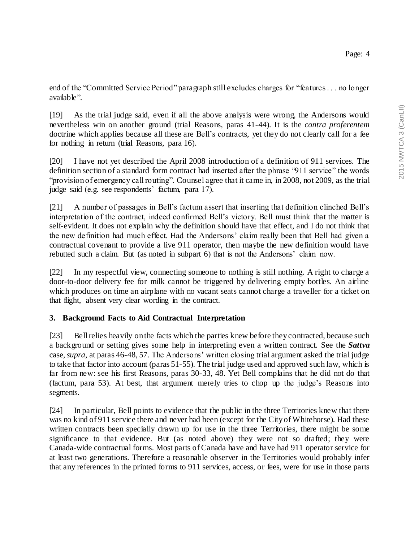end of the "Committed Service Period" paragraph still excludes charges for "features . . . no longer available".

[19] As the trial judge said, even if all the above analysis were wrong, the Andersons would nevertheless win on another ground (trial Reasons, paras 41-44). It is the *contra proferentem*  doctrine which applies because all these are Bell's contracts, yet they do not clearly call for a fee for nothing in return (trial Reasons, para 16).

[20] I have not yet described the April 2008 introduction of a definition of 911 services. The definition section of a standard form contract had inserted after the phrase "911 service" the words "provision of emergency call routing". Counsel agree that it came in, in 2008, not 2009, as the trial judge said (e.g. see respondents' factum, para 17).

[21] A number of passages in Bell's factum assert that inserting that definition clinched Bell's interpretation of the contract, indeed confirmed Bell's victory. Bell must think that the matter is self-evident. It does not explain why the definition should have that effect, and I do not think that the new definition had much effect. Had the Andersons' claim really been that Bell had given a contractual covenant to provide a live 911 operator, then maybe the new definition would have rebutted such a claim. But (as noted in subpart 6) that is not the Andersons' claim now.

[22] In my respectful view, connecting someone to nothing is still nothing. A right to charge a door-to-door delivery fee for milk cannot be triggered by delivering empty bottles. An airline which produces on time an airplane with no vacant seats cannot charge a traveller for a ticket on that flight, absent very clear wording in the contract.

## **3. Background Facts to Aid Contractual Interpretation**

[23] Bell relies heavily on the facts which the parties knew before they contracted, because such a background or setting gives some help in interpreting even a written contract. See the *Sattva*  case, *supra*, at paras 46-48, 57. The Andersons' written closing trial argument asked the trial judge to take that factor into account (paras 51-55). The trial judge used and approved such law, which is far from new: see his first Reasons, paras 30-33, 48. Yet Bell complains that he did not do that (factum, para 53). At best, that argument merely tries to chop up the judge's Reasons into segments.

[24] In particular, Bell points to evidence that the public in the three Territories knew that there was no kind of 911 service there and never had been (except for the City of Whitehorse). Had these written contracts been specially drawn up for use in the three Territories, there might be some significance to that evidence. But (as noted above) they were not so drafted; they were Canada-wide contractual forms. Most parts of Canada have and have had 911 operator service for at least two generations. Therefore a reasonable observer in the Territories would probably infer that any references in the printed forms to 911 services, access, or fees, were for use in those parts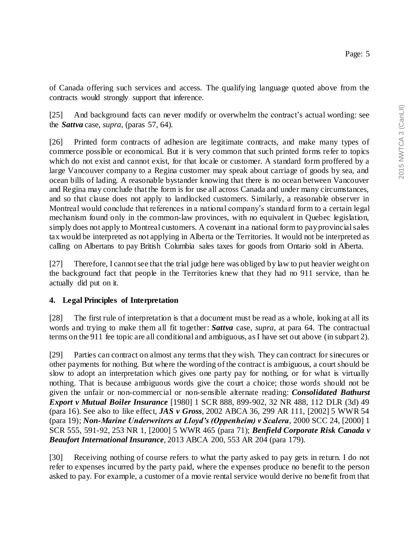of Canada offering such services and access. The qualifying language quoted above from the contracts would strongly support that inference.

[25] And background facts can never modify or overwhelm the contract's actual wording: see the *Sattva* case, *supra*, (paras 57, 64).

[26] Printed form contracts of adhesion are legitimate contracts, and make many types of commerce possible or economical. But it is very common that such printed forms refer to topics which do not exist and cannot exist, for that locale or customer. A standard form proffered by a large Vancouver company to a Regina customer may speak about carriage of goods by sea, and ocean bills of lading. A reasonable bystander knowing that there is no ocean between Vancouver and Regina may conclude that the form is for use all across Canada and under many circumstances, and so that clause does not apply to landlocked customers. Similarly, a reasonable observer in Montreal would conclude that references in a national company's standa rd form to a certain legal mechanism found only in the common-law provinces, with no equivalent in Quebec legislation, simply does not apply to Montreal customers. A covenant in a national form to pay provincial sales tax would be interpreted as not applying in Alberta or the Territories. It would not be interpreted as calling on Albertans to pay British Columbia sales taxes for goods from Ontario sold in Alberta.

[27] Therefore, I cannot see that the trial judge here was obliged by law to put heavier weight on the background fact that people in the Territories knew that they had no 911 service, than he actually did put on it.

## **4. Legal Principles of Interpretation**

[28] The first rule of interpretation is that a document must be read as a whole, looking at all its words and trying to make them all fit together: *Sattva* case, *supra*, at para 64. The contractual terms on the 911 fee topic are all conditional and ambiguous, as I have set out above (in subpart 2).

[29] Parties can contract on almost any terms that they wish. They can contract for sinecures or other payments for nothing. But where the wording of the contract is ambiguous, a court should be slow to adopt an interpretation which gives one party pay for nothing, or for what is virtually nothing. That is because ambiguous words give the court a choice; those words should not be given the unfair or non-commercial or non-sensible alternate reading: *Consolidated Bathurst Export v Mutual Boiler Insurance* [1980] 1 SCR 888, 899-902, 32 NR 488, 112 DLR (3d) 49 (para 16). See also to like effect, *JAS v Gross*, 2002 ABCA 36, 299 AR 111, [2002] 5 WWR 54 (para 19); *Non-Marine Underwriters at Lloyd's (Oppenheim) v Scalera*, 2000 SCC 24, [2000] 1 SCR 555, 591-92, 253 NR 1, [2000] 5 WWR 465 (para 71); *Benfield Corporate Risk Canada v Beaufort International Insurance*, 2013 ABCA 200, 553 AR 204 (para 179).

[30] Receiving nothing of course refers to what the party asked to pay gets in return. I do not refer to expenses incurred by the party paid, where the expenses produce no benefit to the person asked to pay. For example, a customer of a movie rental service would derive no benefit from that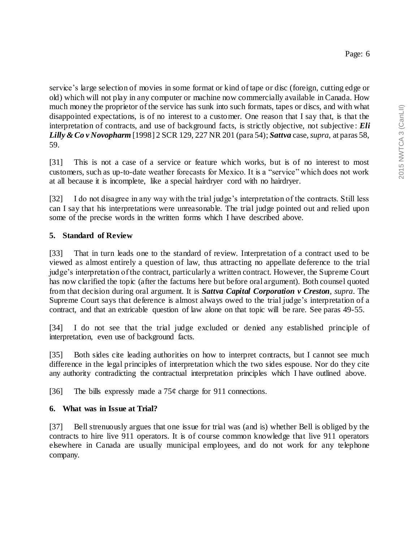service's large selection of movies in some format or kind of tape or disc (foreign, cutting edge or old) which will not play in any computer or machine now commercially available in Canada. How much money the proprietor of the service has sunk into such formats, tapes or discs, and with what disappointed expectations, is of no interest to a customer. One reason that I say that, is that the interpretation of contracts, and use of background facts, is strictly objective, not subjective : *Eli Lilly & Co v Novopharm* [1998] 2 SCR 129, 227 NR 201 (para 54); *Sattva* case, *supra*, at paras 58, 59.

[31] This is not a case of a service or feature which works, but is of no interest to most customers, such as up-to-date weather forecasts for Mexico. It is a "service" which does not work at all because it is incomplete, like a special hairdryer cord with no hairdryer.

[32] I do not disagree in any way with the trial judge's interpretation of the contracts. Still less can I say that his interpretations were unreasonable. The trial judge pointed out and relied upon some of the precise words in the written forms which I have described above.

# **5. Standard of Review**

[33] That in turn leads one to the standard of review. Interpretation of a contract used to be viewed as almost entirely a question of law, thus attracting no appellate deference to the trial judge's interpretation of the contract, particularly a written contract. However, the Supreme Court has now clarified the topic (after the factums here but before oral argument). Both counsel quoted from that decision during oral argument. It is *Sattva Capital Corporation v Creston*, *supra*. The Supreme Court says that deference is almost always owed to the trial judge's interpretation of a contract, and that an extricable question of law alone on that topic will be rare. See paras 49-55.

[34] I do not see that the trial judge excluded or denied any established principle of interpretation, even use of background facts.

[35] Both sides cite leading authorities on how to interpret contracts, but I cannot see much difference in the legal principles of interpretation which the two sides espouse. Nor do they cite any authority contradicting the contractual interpretation principles which I have outlined above.

[36] The bills expressly made a  $75¢$  charge for 911 connections.

## **6. What was in Issue at Trial?**

[37] Bell strenuously argues that one issue for trial was (and is) whether Bell is obliged by the contracts to hire live 911 operators. It is of course common knowledge that live 911 operators elsewhere in Canada are usually municipal employees, and do not work for any telephone company.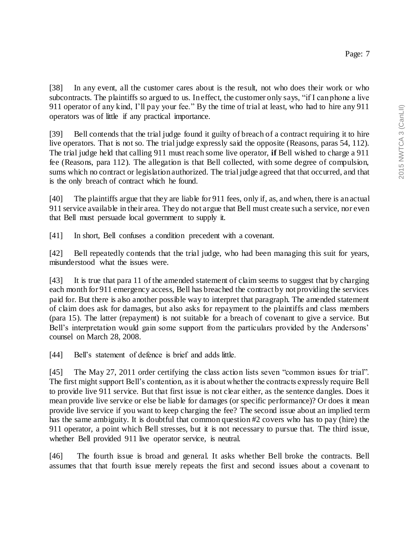[38] In any event, all the customer cares about is the result, not who does their work or who subcontracts. The plaintiffs so argued to us. In effect, the customer only says, "if I can phone a live 911 operator of any kind, I'll pay your fee." By the time of trial at least, who had to hire any 911 operators was of little if any practical importance.

[39] Bell contends that the trial judge found it guilty of breach of a contract requiring it to hire live operators. That is not so. The trial judge expressly said the opposite (Reasons, paras 54, 112). The trial judge held that calling 911 must reach some live operator, **if** Bell wished to charge a 911 fee (Reasons, para 112). The allegation is that Bell collected, with some degree of compulsion, sums which no contract or legislation authorized. The trial judge agreed that that occurred, and that is the only breach of contract which he found.

[40] The plaintiffs argue that they are liable for 911 fees, only if, as, and when, there is an actual 911 service available in their area. They do not argue that Bell must create such a service, nor even that Bell must persuade local government to supply it.

[41] In short, Bell confuses a condition precedent with a covenant.

[42] Bell repeatedly contends that the trial judge, who had been managing this suit for years, misunderstood what the issues were.

[43] It is true that para 11 of the amended statement of claim seems to suggest that by charging each month for 911 emergency access, Bell has breached the contract by not providing the services paid for. But there is also another possible way to interpret that paragraph. The amended statement of claim does ask for damages, but also asks for repayment to the plaintiffs and class members (para 15). The latter (repayment) is not suitable for a breach of covenant to give a service. But Bell's interpretation would gain some support from the particulars provided by the Andersons' counsel on March 28, 2008.

[44] Bell's statement of defence is brief and adds little.

[45] The May 27, 2011 order certifying the class action lists seven "common issues for trial". The first might support Bell's contention, as it is about whether the contracts expressly require Bell to provide live 911 service. But that first issue is not clear either, as the sentence dangles. Does it mean provide live service or else be liable for damages (or specific performance)? Or does it mean provide live service if you want to keep charging the fee? The second issue about an implied term has the same ambiguity. It is doubtful that common question #2 covers who has to pay (hire) the 911 operator, a point which Bell stresses, but it is not necessary to pursue that. The third issue, whether Bell provided 911 live operator service, is neutral.

[46] The fourth issue is broad and general. It asks whether Bell broke the contracts. Bell assumes that that fourth issue merely repeats the first and second issues about a covenant to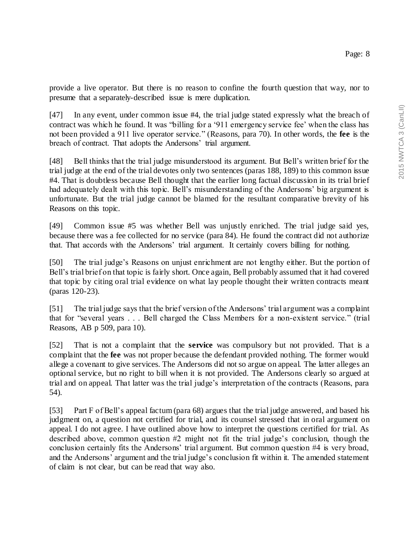provide a live operator. But there is no reason to confine the fourth question that way, nor to presume that a separately-described issue is mere duplication.

[47] In any event, under common issue #4, the trial judge stated expressly what the breach of contract was which he found. It was "billing for a '911 emergency service fee' when the class has not been provided a 911 live operator service." (Reasons, para 70). In other words, the **fee** is the breach of contract. That adopts the Andersons' trial argument.

[48] Bell thinks that the trial judge misunderstood its argument. But Bell's written brief for the trial judge at the end of the trial devotes only two sentences (paras 188, 189) to this common issue #4. That is doubtless because Bell thought that the earlier long factual discussion in its trial brief had adequately dealt with this topic. Bell's misunderstanding of the Andersons' big argument is unfortunate. But the trial judge cannot be blamed for the resultant comparative brevity of his Reasons on this topic.

[49] Common issue #5 was whether Bell was unjustly enriched. The trial judge said yes, because there was a fee collected for no service (para 84). He found the contract did not authorize that. That accords with the Andersons' trial argument. It certainly covers billing for nothing.

[50] The trial judge's Reasons on unjust enrichment are not lengthy either. But the portion of Bell's trial brief on that topic is fairly short. Once again, Bell probably assumed that it had covered that topic by citing oral trial evidence on what lay people thought their written contracts meant (paras 120-23).

[51] The trial judge says that the brief version of the Andersons' trial argument was a complaint that for "several years . . . Bell charged the Class Members for a non-existent service." (trial Reasons, AB p 509, para 10).

[52] That is not a complaint that the **service** was compulsory but not provided. That is a complaint that the **fee** was not proper because the defendant provided nothing. The former would allege a covenant to give services. The Andersons did not so argue on appeal. The latter alleges an optional service, but no right to bill when it is not provided. The Andersons clearly so argued at trial and on appeal. That latter was the trial judge's interpretation of the contracts (Reasons, para 54).

[53] Part F of Bell's appeal factum (para 68) argues that the trial judge answered, and based his judgment on, a question not certified for trial, and its counsel stressed that in oral argument on appeal. I do not agree. I have outlined above how to interpret the questions certified for trial. As described above, common question #2 might not fit the trial judge's conclusion, though the conclusion certainly fits the Andersons' trial argument. But common question #4 is very broad, and the Andersons' argument and the trial judge's conclusion fit within it. The amended statement of claim is not clear, but can be read that way also.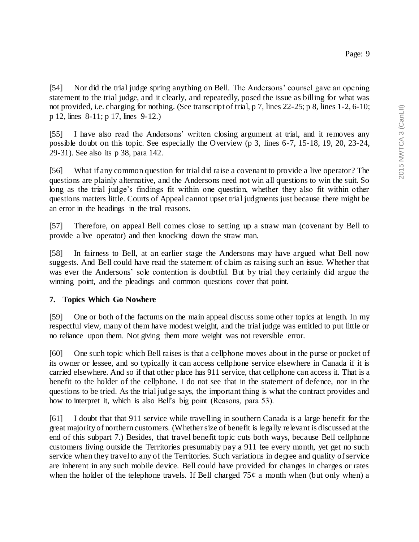[54] Nor did the trial judge spring anything on Bell. The Andersons' counsel gave an opening statement to the trial judge, and it clearly, and repeatedly, posed the issue as billing for what was not provided, i.e. charging for nothing. (See transcript of trial, p 7, lines 22-25; p 8, lines 1-2, 6-10; p 12, lines 8-11; p 17, lines 9-12.)

[55] I have also read the Andersons' written closing argument at trial, and it removes any possible doubt on this topic. See especially the Overview (p 3, lines 6-7, 15-18, 19, 20, 23-24, 29-31). See also its p 38, para 142.

[56] What if any common question for trial did raise a covenant to provide a live operator? The questions are plainly alternative, and the Andersons need not win all questions to win the suit. So long as the trial judge's findings fit within one question, whether they also fit within other questions matters little. Courts of Appeal cannot upset trial judgments just because there might be an error in the headings in the trial reasons.

[57] Therefore, on appeal Bell comes close to setting up a straw man (covenant by Bell to provide a live operator) and then knocking down the straw man.

[58] In fairness to Bell, at an earlier stage the Andersons may have argued what Bell now suggests. And Bell could have read the statement of claim as raising such an issue. Whether that was ever the Andersons' sole contention is doubtful. But by trial they certainly did argue the winning point, and the pleadings and common questions cover that point.

## **7. Topics Which Go Nowhere**

[59] One or both of the factums on the main appeal discuss some other topics at length. In my respectful view, many of them have modest weight, and the trial judge was entitled to put little or no reliance upon them. Not giving them more weight was not reversible error.

[60] One such topic which Bell raises is that a cellphone moves about in the purse or pocket of its owner or lessee, and so typically it can access cellphone service elsewhere in Canada if it is carried elsewhere. And so if that other place has 911 service, that cellphone can access it. That is a benefit to the holder of the cellphone. I do not see that in the statement of defence, nor in the questions to be tried. As the trial judge says, the important thing is what the contract provides and how to interpret it, which is also Bell's big point (Reasons, para 53).

[61] I doubt that that 911 service while travelling in southern Canada is a large benefit for the great majority of northern customers. (Whether size of benefit is legally relevant is discussed at the end of this subpart 7.) Besides, that travel benefit topic cuts both ways, because Bell cellphone customers living outside the Territories presumably pay a 911 fee every month, yet get no such service when they travel to any of the Territories. Such variations in degree and quality of service are inherent in any such mobile device. Bell could have provided for changes in charges or rates when the holder of the telephone travels. If Bell charged  $75¢$  a month when (but only when) a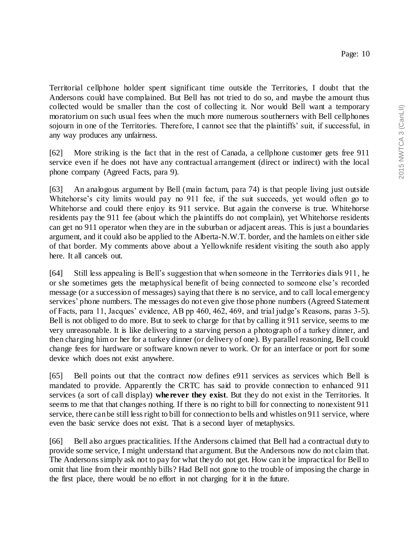Territorial cellphone holder spent significant time outside the Territories, I doubt that the Andersons could have complained. But Bell has not tried to do so, and maybe the amount thus collected would be smaller than the cost of collecting it. Nor would Bell want a temporary moratorium on such usual fees when the much more numerous southerners with Bell cellphones sojourn in one of the Territories. Therefore, I cannot see that the plaintiffs' suit, if successful, in any way produces any unfairness.

[62] More striking is the fact that in the rest of Canada, a cellphone customer gets free 911 service even if he does not have any contractual arrangement (direct or indirect) with the local phone company (Agreed Facts, para 9).

[63] An analogous argument by Bell (main factum, para 74) is that people living just outside Whitehorse's city limits would pay no 911 fee, if the suit succeeds, yet would often go to Whitehorse and could there enjoy its 911 service. But again the converse is true. Whitehorse residents pay the 911 fee (about which the plaintiffs do not complain), yet Whitehorse residents can get no 911 operator when they are in the suburban or adjacent areas. This is just a boundaries argument, and it could also be applied to the Alberta-N.W.T. border, and the hamlets on either side of that border. My comments above about a Yellowknife resident visiting the south also apply here. It all cancels out.

[64] Still less appealing is Bell's suggestion that when someone in the Territories dials 911, he or she sometimes gets the metaphysical benefit of being connected to someone else's recorded message (or a succession of messages) saying that there is no service, and to call local emergency services' phone numbers. The messages do not even give those phone numbers (Agreed Statement of Facts, para 11, Jacques' evidence, AB pp 460, 462, 469, and trial judge's Reasons, paras 3-5). Bell is not obliged to do more. But to seek to charge for that by calling it 911 service, seems to me very unreasonable. It is like delivering to a starving person a photograph of a turkey dinner, and then charging him or her for a turkey dinner (or delivery of one). By parallel reasoning, Bell could change fees for hardware or software known never to work. Or for an interface or port for some device which does not exist anywhere.

[65] Bell points out that the contract now defines e911 services as services which Bell is mandated to provide. Apparently the CRTC has said to provide connection to enhanced 911 services (a sort of call display) **wherever they exist**. But they do not exist in the Territories. It seems to me that that changes nothing. If there is no right to bill for connecting to nonexistent 911 service, there can be still less right to bill for connection to bells and whistles on 911 service, where even the basic service does not exist. That is a second layer of metaphysics.

[66] Bell also argues practicalities. If the Andersons claimed that Bell had a contractual duty to provide some service, I might understand that argument. But the Andersons now do not claim that. The Andersonssimply ask not to pay for what they do not get. How can it be impractical for Bell to omit that line from their monthly bills? Had Bell not gone to the trouble of imposing the charge in the first place, there would be no effort in not charging for it in the future.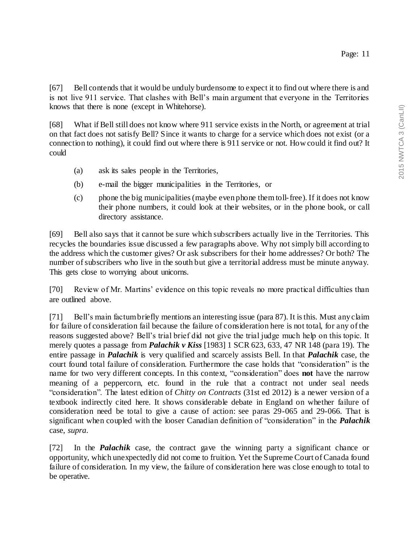[67] Bell contends that it would be unduly burdensome to expect it to find out where there is and is not live 911 service. That clashes with Bell's main argument that everyone in the Territories knows that there is none (except in Whitehorse).

[68] What if Bell still does not know where 911 service exists in the North, or agreement at trial on that fact does not satisfy Bell? Since it wants to charge for a service which does not exist (or a connection to nothing), it could find out where there is 911 service or not. How could it find out? It could

- (a) ask its sales people in the Territories,
- (b) e-mail the bigger municipalities in the Territories, or
- (c) phone the big municipalities(maybe even phone them toll-free). If it does not know their phone numbers, it could look at their websites, or in the phone book, or call directory assistance.

[69] Bell also says that it cannot be sure which subscribers actually live in the Territories. This recycles the boundaries issue discussed a few paragraphs above. Why not simply bill according to the address which the customer gives? Or ask subscribers for their home addresses? Or both? The number of subscribers who live in the south but give a territorial address must be minute anyway. This gets close to worrying about unicorns.

[70] Review of Mr. Martins' evidence on this topic reveals no more practical difficulties than are outlined above.

[71] Bell's main factumbriefly mentions an interesting issue (para 87). It is this. Must any claim for failure of consideration fail because the failure of consideration here is not total, for any of the reasons suggested above? Bell's trial brief did not give the trial judge much help on this topic. It merely quotes a passage from *Palachik v Kiss* [1983] 1 SCR 623, 633, 47 NR 148 (para 19). The entire passage in *Palachik* is very qualified and scarcely assists Bell. In that *Palachik* case, the court found total failure of consideration. Furthermore the case holds that "consideration" is the name for two very different concepts. In this context, "consideration" does **not** have the narrow meaning of a peppercorn, etc. found in the rule that a contract not under seal needs "consideration". The latest edition of *Chitty on Contracts* (31st ed 2012) is a newer version of a textbook indirectly cited here. It shows considerable debate in England on whether failure of consideration need be total to give a cause of action: see paras 29-065 and 29-066. That is significant when coupled with the looser Canadian definition of "consideration" in the *Palachik*  case, *supra*.

[72] In the *Palachik* case, the contract gave the winning party a significant chance or opportunity, which unexpectedly did not come to fruition. Yet the Supreme Court of Canada found failure of consideration. In my view, the failure of consideration here was close enough to total to be operative.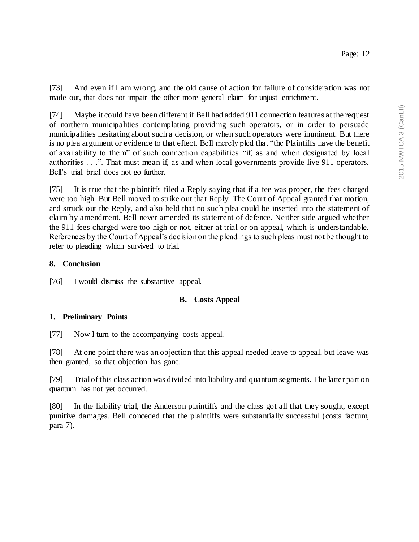[73] And even if I am wrong, and the old cause of action for failure of consideration was not made out, that does not impair the other more general claim for unjust enrichment.

[74] Maybe it could have been different if Bell had added 911 connection features at the request of northern municipalities contemplating providing such operators, or in order to persuade municipalities hesitating about such a decision, or when such operators were imminent. But there is no plea argument or evidence to that effect. Bell merely pled that "the Plaintiffs have the benefit of availability to them" of such connection capabilities "if, as and when designated by local authorities . . .". That must mean if, as and when local governments provide live 911 operators. Bell's trial brief does not go further.

[75] It is true that the plaintiffs filed a Reply saying that if a fee was proper, the fees charged were too high. But Bell moved to strike out that Reply. The Court of Appeal granted that motion, and struck out the Reply, and also held that no such plea could be inserted into the statement of claim by amendment. Bell never amended its statement of defence. Neither side argued whether the 911 fees charged were too high or not, either at trial or on appeal, which is understandable. References by the Court of Appeal's decision on the pleadings to such pleas must not be thought to refer to pleading which survived to trial.

### **8. Conclusion**

[76] I would dismiss the substantive appeal.

## **B. Costs Appeal**

#### **1. Preliminary Points**

[77] Now I turn to the accompanying costs appeal.

[78] At one point there was an objection that this appeal needed leave to appeal, but leave was then granted, so that objection has gone.

[79] Trial of this class action was divided into liability and quantum segments. The latter part on quantum has not yet occurred.

[80] In the liability trial, the Anderson plaintiffs and the class got all that they sought, except punitive damages. Bell conceded that the plaintiffs were substantially successful (costs factum, para 7).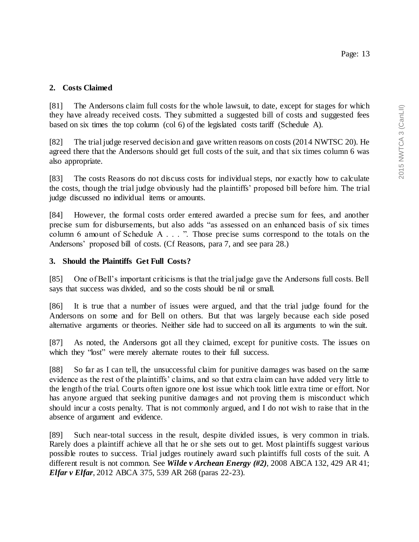### Page: 13

#### **2. Costs Claimed**

[81] The Andersons claim full costs for the whole lawsuit, to date, except for stages for which they have already received costs. They submitted a suggested bill of costs and suggested fees based on six times the top column (col 6) of the legislated costs tariff (Schedule A).

[82] The trial judge reserved decision and gave written reasons on costs (2014 NWTSC 20). He agreed there that the Andersons should get full costs of the suit, and that six times column 6 was also appropriate.

[83] The costs Reasons do not discuss costs for individual steps, nor exactly how to calculate the costs, though the trial judge obviously had the plaintiffs' proposed bill before him. The trial judge discussed no individual items or amounts.

[84] However, the formal costs order entered awarded a precise sum for fees, and another precise sum for disbursements, but also adds "as assessed on an enhanced basis of six times column 6 amount of Schedule A . . . ". Those precise sums correspond to the totals on the Andersons' proposed bill of costs. (Cf Reasons, para 7, and see para 28.)

#### **3. Should the Plaintiffs Get Full Costs?**

[85] One of Bell's important criticisms is that the trial judge gave the Andersons full costs. Bell says that success was divided, and so the costs should be nil or small.

[86] It is true that a number of issues were argued, and that the trial judge found for the Andersons on some and for Bell on others. But that was largely because each side posed alternative arguments or theories. Neither side had to succeed on all its arguments to win the suit.

[87] As noted, the Andersons got all they claimed, except for punitive costs. The issues on which they "lost" were merely alternate routes to their full success.

[88] So far as I can tell, the unsuccessful claim for punitive damages was based on the same evidence as the rest of the plaintiffs' claims, and so that extra claim can have added very little to the length of the trial. Courts often ignore one lost issue which took little extra time or effort. Nor has anyone argued that seeking punitive damages and not proving them is misconduct which should incur a costs penalty. That is not commonly argued, and I do not wish to raise that in the absence of argument and evidence.

[89] Such near-total success in the result, despite divided issues, is very common in trials. Rarely does a plaintiff achieve all that he or she sets out to get. Most plaintiffs suggest various possible routes to success. Trial judges routinely award such plaintiffs full costs of the suit. A different result is not common. See *Wilde v Archean Energy (#2)*, 2008 ABCA 132, 429 AR 41; *Elfar v Elfar*, 2012 ABCA 375, 539 AR 268 (paras 22-23).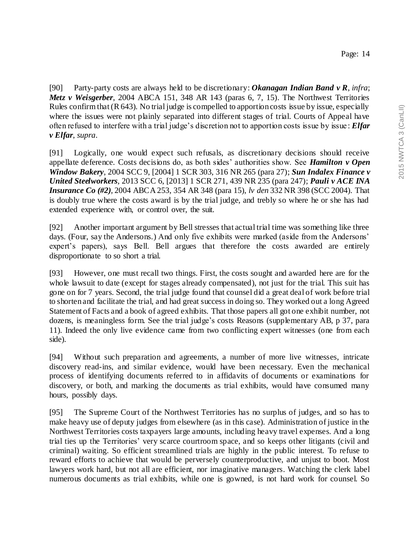[90] Party-party costs are always held to be discretionary: *Okanagan Indian Band v R*, *infra*; *Metz v Weisgerber*, 2004 ABCA 151, 348 AR 143 (paras 6, 7, 15). The Northwest Territories Rules confirm that (R 643). No trial judge is compelled to apportion costs issue by issue, especially where the issues were not plainly separated into different stages of trial. Courts of Appeal have often refused to interfere with a trial judge's discretion not to apportion costs issue by issue : *Elfar v Elfar*, *supra*.

[91] Logically, one would expect such refusals, as discretionary decisions should receive appellate deference. Costs decisions do, as both sides' authorities show. See *Hamilton v Open Window Bakery*, 2004 SCC 9, [2004] 1 SCR 303, 316 NR 265 (para 27); *Sun Indalex Finance v United Steelworkers*, 2013 SCC 6, [2013] 1 SCR 271, 439 NR 235 (para 247); *Pauli v ACE INA Insurance Co (#2)*, 2004 ABCA 253, 354 AR 348 (para 15), *lv den* 332 NR 398 (SCC 2004). That is doubly true where the costs award is by the trial judge, and trebly so where he or she has had extended experience with, or control over, the suit.

[92] Another important argument by Bell stresses that actual trial time was something like three days. (Four, say the Andersons.) And only five exhibits were marked (aside from the Andersons' expert's papers), says Bell. Bell argues that therefore the costs awarded are entirely disproportionate to so short a trial.

[93] However, one must recall two things. First, the costs sought and awarded here are for the whole lawsuit to date (except for stages already compensated), not just for the trial. This suit has gone on for 7 years. Second, the trial judge found that counsel did a great deal of work before trial to shorten and facilitate the trial, and had great success in doing so. They worked out a long Agreed Statement of Facts and a book of agreed exhibits. That those papers all got one exhibit number, not dozens, is meaningless form. See the trial judge's costs Reasons (supplementary AB, p 37, para 11). Indeed the only live evidence came from two conflicting expert witnesses (one from each side).

[94] Without such preparation and agreements, a number of more live witnesses, intricate discovery read-ins, and similar evidence, would have been necessary. Even the mechanical process of identifying documents referred to in affidavits of documents or examinations for discovery, or both, and marking the documents as trial exhibits, would have consumed many hours, possibly days.

[95] The Supreme Court of the Northwest Territories has no surplus of judges, and so has to make heavy use of deputy judges from elsewhere (as in this case). Administration of justice in the Northwest Territories costs taxpayers large amounts, including heavy travel expenses. And a long trial ties up the Territories' very scarce courtroom space, and so keeps other litigants (civil and criminal) waiting. So efficient streamlined trials are highly in the public interest. To refuse to reward efforts to achieve that would be perversely counterproductive, and unjust to boot. Most lawyers work hard, but not all are efficient, nor imaginative managers. Watching the clerk label numerous documents as trial exhibits, while one is gowned, is not hard work for counsel. So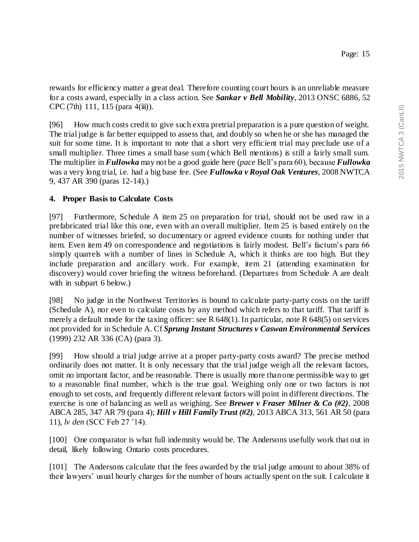rewards for efficiency matter a great deal. Therefore counting court hours is an unreliable measure for a costs award, especially in a class action. See *Sankar v Bell Mobility*, 2013 ONSC 6886, 52 CPC (7th) 111, 115 (para 4(iii)).

[96] How much costs credit to give such extra pretrial preparation is a pure question of weight. The trial judge is far better equipped to assess that, and doubly so when he or she has managed the suit for some time. It is important to note that a short very efficient trial may preclude use of a small multiplier. Three times a small base sum (which Bell mentions) is still a fairly small sum. The multiplier in *Fullowka* may not be a good guide here (*pace* Bell's para 60), because *Fullowka*  was a very long trial, i.e. had a big base fee. (See *Fullowka v Royal Oak Ventures*, 2008 NWTCA 9, 437 AR 390 (paras 12-14).)

## **4. Proper Basis to Calculate Costs**

[97] Furthermore, Schedule A item 25 on preparation for trial, should not be used raw in a prefabricated trial like this one, even with an overall multiplier. Item 25 is based entirely on the number of witnesses briefed, so documentary or agreed evidence counts for nothing under that item. Even item 49 on correspondence and negotiations is fairly modest. Bell's factum's para 66 simply quarrels with a number of lines in Schedule A, which it thinks are too high. But they include preparation and ancillary work. For example, item 21 (attending examination for discovery) would cover briefing the witness beforehand. (Departures from Schedule A are dealt with in subpart 6 below.)

[98] No judge in the Northwest Territories is bound to calculate party-party costs on the tariff (Schedule A), nor even to calculate costs by any method which refers to that tariff. That tariff is merely a default mode for the taxing officer: see R 648(1). In particular, note R 648(5) on services not provided for in Schedule A. Cf *Sprung Instant Structures v Caswan Environmental Services*  (1999) 232 AR 336 (CA) (para 3).

[99] How should a trial judge arrive at a proper party-party costs award? The precise method ordinarily does not matter. It is only necessary that the trial judge weigh all the relevant factors, omit no important factor, and be reasonable. There is usually more than one permissible way to get to a reasonable final number, which is the true goal. Weighing only one or two factors is not enough to set costs, and frequently different relevant factors will point in different directions. The exercise is one of balancing as well as weighing. See *Brewer v Fraser Milner & Co (#2)*, 2008 ABCA 285, 347 AR 79 (para 4); *Hill v Hill Family Trust (#2)*, 2013 ABCA 313, 561 AR 50 (para 11), *lv den* (SCC Feb 27 '14).

[100] One comparator is what full indemnity would be. The Andersons usefully work that out in detail, likely following Ontario costs procedures.

[101] The Andersons calculate that the fees awarded by the trial judge amount to about 38% of their lawyers' usual hourly charges for the number of hours actually spent on the suit. I calculate it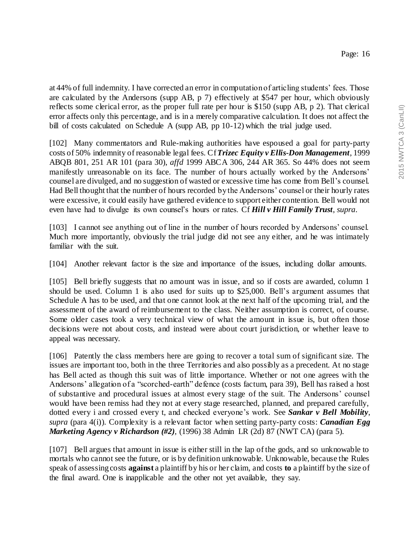at 44% of full indemnity. I have corrected an error in computation of articling students' fees. Those are calculated by the Andersons (supp AB, p 7) effectively at \$547 per hour, which obviously reflects some clerical error, as the proper full rate per hour is \$150 (supp AB, p 2). That clerical error affects only this percentage, and is in a merely comparative calculation. It does not affect the bill of costs calculated on Schedule A (supp AB, pp 10-12) which the trial judge used.

[102] Many commentators and Rule-making authorities have espoused a goal for party-party costs of 50% indemnity of reasonable legal fees. Cf*Trizec Equity v Ellis-Don Management*, 1999 ABQB 801, 251 AR 101 (para 30), *affd* 1999 ABCA 306, 244 AR 365. So 44% does not seem manifestly unreasonable on its face. The number of hours actually worked by the Andersons' counsel are divulged, and no suggestion of wasted or excessive time has come from Bell's counsel. Had Bell thought that the number of hours recorded by the Andersons' counsel or their hourly rates were excessive, it could easily have gathered evidence to support either contention. Bell would not even have had to divulge its own counsel's hours or rates. Cf *Hill v Hill Family Trust*, *supra*.

[103] I cannot see anything out of line in the number of hours recorded by Andersons' counsel. Much more importantly, obviously the trial judge did not see any either, and he was intimately familiar with the suit.

[104] Another relevant factor is the size and importance of the issues, including dollar amounts.

[105] Bell briefly suggests that no amount was in issue, and so if costs are awarded, column 1 should be used. Column 1 is also used for suits up to \$25,000. Bell's argument assumes that Schedule A has to be used, and that one cannot look at the next half of the upcoming trial, and the assessment of the award of reimbursement to the class. Neither assumption is correct, of course. Some older cases took a very technical view of what the amount in issue is, but often those decisions were not about costs, and instead were about court jurisdiction, or whether leave to appeal was necessary.

[106] Patently the class members here are going to recover a total sum of significant size. The issues are important too, both in the three Territories and also possibly as a precedent. At no stage has Bell acted as though this suit was of little importance. Whether or not one agrees with the Andersons' allegation of a "scorched-earth" defence (costs factum, para 39), Bell has raised a host of substantive and procedural issues at almost every stage of the suit. The Andersons' counsel would have been remiss had they not at every stage researched, planned, and prepared carefully, dotted every i and crossed every t, and checked everyone's work. See *Sankar v Bell Mobility*, *supra* (para 4(i)). Complexity is a relevant factor when setting party-party costs: *Canadian Egg Marketing Agency v Richardson (#2)*, (1996) 38 Admin LR (2d) 87 (NWT CA) (para 5).

[107] Bell argues that amount in issue is either still in the lap of the gods, and so unknowable to mortals who cannot see the future, or is by definition unknowable. Unknowable, because the Rules speak of assessing costs **against** a plaintiff by his or her claim, and costs **to** a plaintiff by the size of the final award. One is inapplicable and the other not yet available, they say.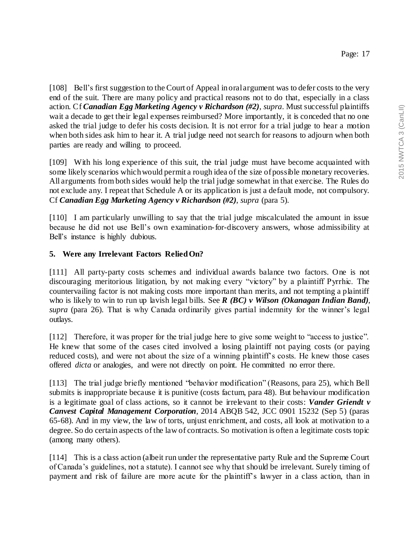[108] Bell's first suggestion to the Court of Appeal in oral argument was to defer costs to the very end of the suit. There are many policy and practical reasons not to do that, especially in a class action. Cf *Canadian Egg Marketing Agency v Richardson (#2)*, *supra*. Must successful plaintiffs wait a decade to get their legal expenses reimbursed? More importantly, it is conceded that no one asked the trial judge to defer his costs decision. It is not error for a trial judge to hear a motion when both sides ask him to hear it. A trial judge need not search for reasons to adjourn when both parties are ready and willing to proceed.

[109] With his long experience of this suit, the trial judge must have become acquainted with some likely scenarios which would permit a rough idea of the size of possible monetary recoveries. All arguments from both sides would help the trial judge somewhat in that exercise. The Rules do not exclude any. I repeat that Schedule A or its application is just a default mode, not compulsory. Cf *Canadian Egg Marketing Agency v Richardson (#2)*, *supra* (para 5).

[110] I am particularly unwilling to say that the trial judge miscalculated the amount in issue because he did not use Bell's own examination-for-discovery answers, whose admissibility at Bell's instance is highly dubious.

### **5. Were any Irrelevant Factors Relied On?**

[111] All party-party costs schemes and individual awards balance two factors. One is not discouraging meritorious litigation, by not making every "victory" by a plaintiff Pyrrhic. The countervailing factor is not making costs more important than merits, and not tempting a plaintiff who is likely to win to run up lavish legal bills. See *R (BC) v Wilson (Okanagan Indian Band)*, *supra* (para 26). That is why Canada ordinarily gives partial indemnity for the winner's legal outlays.

[112] Therefore, it was proper for the trial judge here to give some weight to "access to justice". He knew that some of the cases cited involved a losing plaintiff not paying costs (or paying reduced costs), and were not about the size of a winning plaintiff's costs. He knew those cases offered *dicta* or analogies, and were not directly on point. He committed no error there.

[113] The trial judge briefly mentioned "behavior modification" (Reasons, para 25), which Bell submits is inappropriate because it is punitive (costs factum, para 48). But behaviour modification is a legitimate goal of class actions, so it cannot be irrelevant to their costs: *Vander Griendt v Canvest Capital Management Corporation*, 2014 ABQB 542, JCC 0901 15232 (Sep 5) (paras 65-68). And in my view, the law of torts, unjust enrichment, and costs, all look at motivation to a degree. So do certain aspects of the law of contracts. So motivation is often a legitimate costs topic (among many others).

[114] This is a class action (albeit run under the representative party Rule and the Supreme Court of Canada's guidelines, not a statute). I cannot see why that should be irrelevant. Surely timing of payment and risk of failure are more acute for the plaintiff's lawyer in a class action, than in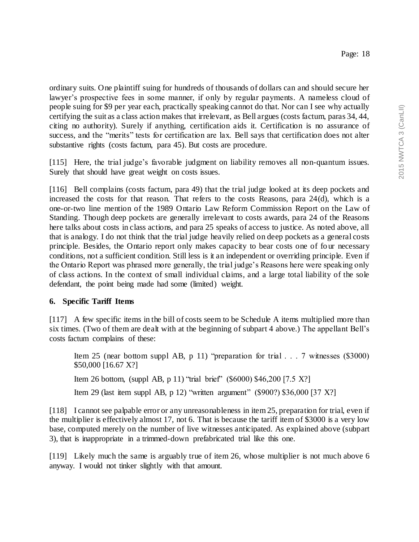ordinary suits. One plaintiff suing for hundreds of thousands of dollars can and should secure her lawyer's prospective fees in some manner, if only by regular payments. A nameless cloud of people suing for \$9 per year each, practically speaking cannot do that. Nor can I see why actually certifying the suit as a class action makes that irrelevant, as Bell argues (costs factum, paras 34, 44, citing no authority). Surely if anything, certification aids it. Certification is no assurance of success, and the "merits" tests for certification are lax. Bell says that certification does not alter substantive rights (costs factum, para 45). But costs are procedure.

[115] Here, the trial judge's favorable judgment on liability removes all non-quantum issues. Surely that should have great weight on costs issues.

[116] Bell complains (costs factum, para 49) that the trial judge looked at its deep pockets and increased the costs for that reason. That refers to the costs Reasons, para 24(d), which is a one-or-two line mention of the 1989 Ontario Law Reform Commission Report on the Law of Standing. Though deep pockets are generally irrelevant to costs awards, para 24 of the Reasons here talks about costs in class actions, and para 25 speaks of access to justice. As noted above, all that is analogy. I do not think that the trial judge heavily relied on deep pockets as a general costs principle. Besides, the Ontario report only makes capacity to bear costs one of four necessary conditions, not a sufficient condition. Still less is it an independent or overriding principle. Even if the Ontario Report was phrased more generally, the trial judge's Reasons here were speaking only of class actions. In the context of small individual claims, and a large total liability of the sole defendant, the point being made had some (limited) weight.

## **6. Specific Tariff Items**

[117] A few specific items in the bill of costs seem to be Schedule A items multiplied more than six times. (Two of them are dealt with at the beginning of subpart 4 above.) The appellant Bell's costs factum complains of these:

Item 25 (near bottom suppl AB, p 11) "preparation for trial . . . 7 witnesses (\$3000) \$50,000 [16.67 X?] Item 26 bottom, (suppl AB, p 11) "trial brief" (\$6000) \$46,200 [7.5 X?] Item 29 (last item suppl AB, p 12) "written argument" (\$900?) \$36,000 [37 X?]

[118] I cannot see palpable error or any unreasonableness in item 25, preparation for trial, even if the multiplier is effectively almost 17, not 6. That is because the tariff item of \$3000 is a very low base, computed merely on the number of live witnesses anticipated. As explained above (subpart 3), that is inappropriate in a trimmed-down prefabricated trial like this one.

[119] Likely much the same is arguably true of item 26, whose multiplier is not much above 6 anyway. I would not tinker slightly with that amount.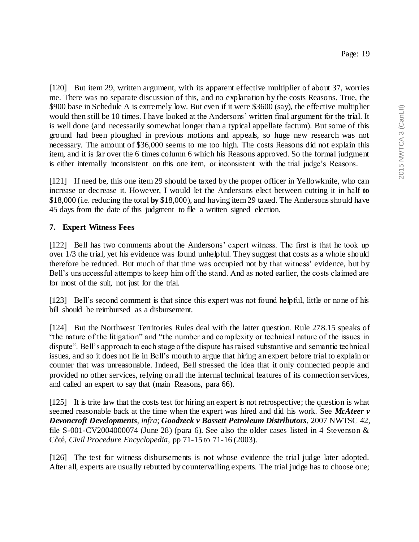[120] But item 29, written argument, with its apparent effective multiplier of about 37, worries me. There was no separate discussion of this, and no explanation by the costs Reasons. True, the \$900 base in Schedule A is extremely low. But even if it were \$3600 (say), the effective multiplier would then still be 10 times. I have looked at the Andersons' written final argument for the trial. It is well done (and necessarily somewhat longer than a typical appellate factum). But some of this ground had been ploughed in previous motions and appeals, so huge new research was not necessary. The amount of \$36,000 seems to me too high. The costs Reasons did not explain this item, and it is far over the 6 times column 6 which his Reasons approved. So the formal judgment is either internally inconsistent on this one item, or inconsistent with the trial judge's Reasons.

[121] If need be, this one item 29 should be taxed by the proper officer in Yellowknife, who can increase or decrease it. However, I would let the Andersons elect between cutting it in half **to**  \$18,000 (i.e. reducing the total **by** \$18,000), and having item 29 taxed. The Andersons should have 45 days from the date of this judgment to file a written signed election.

### **7. Expert Witness Fees**

[122] Bell has two comments about the Andersons' expert witness. The first is that he took up over 1/3 the trial, yet his evidence was found unhelpful. They suggest that costs as a whole should therefore be reduced. But much of that time was occupied not by that witness' evidence, but by Bell's unsuccessful attempts to keep him off the stand. And as noted earlier, the costs claimed are for most of the suit, not just for the trial.

[123] Bell's second comment is that since this expert was not found helpful, little or none of his bill should be reimbursed as a disbursement.

[124] But the Northwest Territories Rules deal with the latter question. Rule 278.15 speaks of "the nature of the litigation" and "the number and complexity or technical nature of the issues in dispute". Bell's approach to each stage of the dispute has raised substantive and semantic technical issues, and so it does not lie in Bell's mouth to argue that hiring an expert before trial to explain or counter that was unreasonable. Indeed, Bell stressed the idea that it only connected people and provided no other services, relying on all the internal technical features of its connection services, and called an expert to say that (main Reasons, para 66).

[125] It is trite law that the costs test for hiring an expert is not retrospective; the question is what seemed reasonable back at the time when the expert was hired and did his work. See *McAteer v Devoncroft Developments*, *infra*; *Goodzeck v Bassett Petroleum Distributors*, 2007 NWTSC 42, file S-001-CV2004000074 (June 28) (para 6). See also the older cases listed in 4 Stevenson & Côté, *Civil Procedure Encyclopedia*, pp 71-15 to 71-16 (2003).

[126] The test for witness disbursements is not whose evidence the trial judge later adopted. After all, experts are usually rebutted by countervailing experts. The trial judge has to choose one;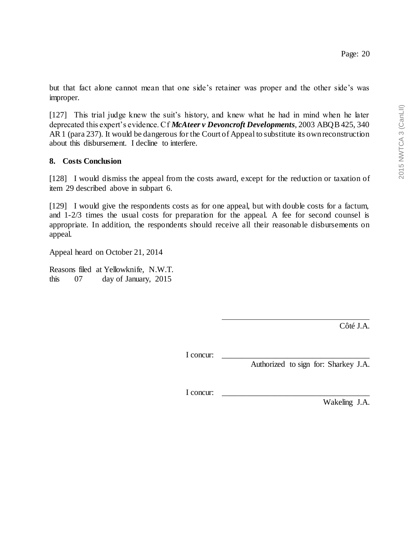but that fact alone cannot mean that one side's retainer was proper and the other side's was improper.

[127] This trial judge knew the suit's history, and knew what he had in mind when he later deprecated this expert's evidence. Cf *McAteer v Devoncroft Developments*, 2003 ABQB 425, 340 AR 1 (para 237). It would be dangerous for the Court of Appeal to substitute its own reconstruction about this disbursement. I decline to interfere.

#### **8. Costs Conclusion**

[128] I would dismiss the appeal from the costs award, except for the reduction or taxation of item 29 described above in subpart 6.

[129] I would give the respondents costs as for one appeal, but with double costs for a factum, and 1-2/3 times the usual costs for preparation for the appeal. A fee for second counsel is appropriate. In addition, the respondents should receive all their reasonable disbursements on appeal.

Appeal heard on October 21, 2014

Reasons filed at Yellowknife, N.W.T. this 07 day of January, 2015

Côté J.A.

I concur:

Authorized to sign for: Sharkey J.A.

I concur:

Wakeling J.A.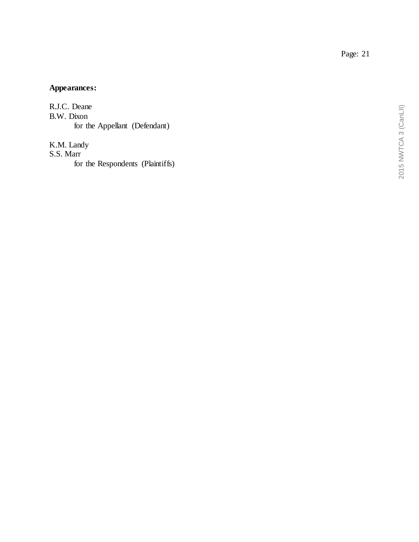**Appearances:**

R.J.C. Deane B.W. Dixon for the Appellant (Defendant)

K.M. Landy S.S. Marr

for the Respondents (Plaintiffs)